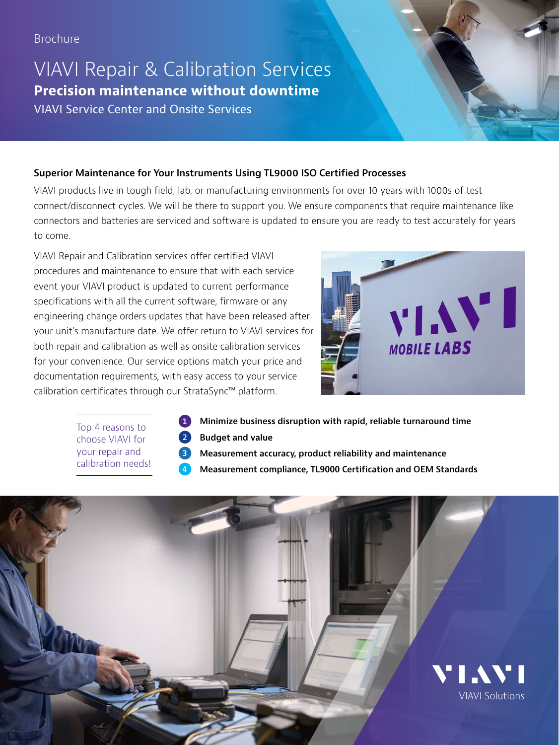# VIAVI Repair & Calibration Services **Precision maintenance without downtime**  VIAVI Service Center and Onsite Services

### **Superior Maintenance for Your Instruments Using TL9000 ISO Certified Processes**

VIAVI products live in tough field, lab, or manufacturing environments for over 10 years with 1000s of test connect/disconnect cycles. We will be there to support you. We ensure components that require maintenance like connectors and batteries are serviced and software is updated to ensure you are ready to test accurately for years to come.

VIAVI Repair and Calibration services offer certified VIAVI procedures and maintenance to ensure that with each service event your VIAVI product is updated to current performance specifications with all the current software, firmware or any engineering change orders updates that have been released after your unit's manufacture date. We offer return to VIAVI services for both repair and calibration as well as onsite calibration services for your convenience. Our service options match your price and documentation requirements, with easy access to your service calibration certificates through our StrataSync™ platform.

 **4**



Top 4 reasons to choose VIAVI for your repair and calibration needs!

- **1 2 Budget and value Minimize business disruption with rapid, reliable turnaround time**
- **3 Measurement accuracy, product reliability and maintenance**
	- **Measurement compliance, TL9000 Certification and OEM Standards**

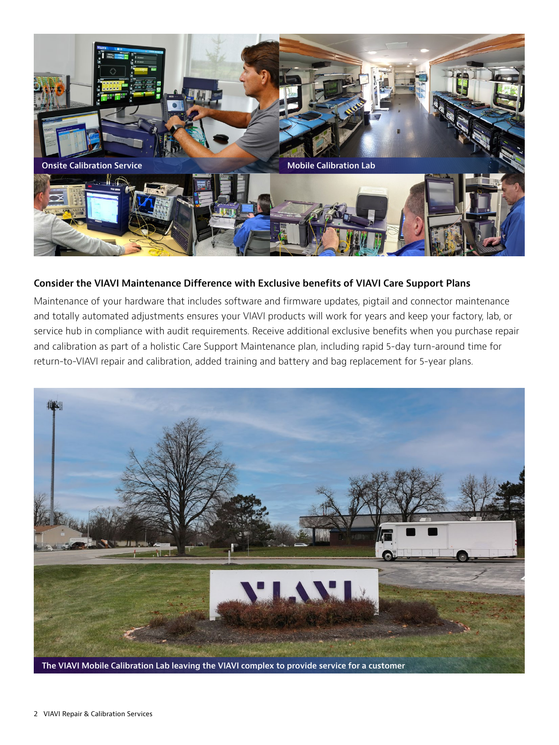

#### **Consider the VIAVI Maintenance Difference with Exclusive benefits of VIAVI Care Support Plans**

Maintenance of your hardware that includes software and firmware updates, pigtail and connector maintenance and totally automated adjustments ensures your VIAVI products will work for years and keep your factory, lab, or service hub in compliance with audit requirements. Receive additional exclusive benefits when you purchase repair and calibration as part of a holistic Care Support Maintenance plan, including rapid 5-day turn-around time for return-to-VIAVI repair and calibration, added training and battery and bag replacement for 5-year plans.

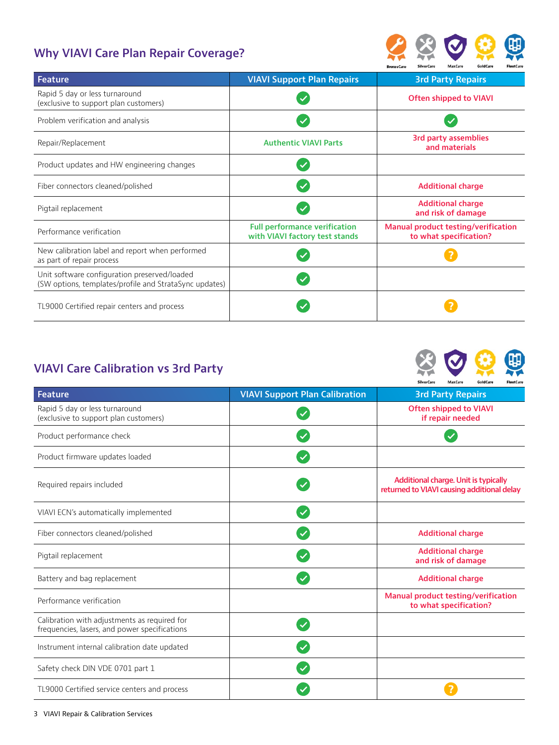## **Why VIAVI Care Plan Repair Coverage?**



| <b>Feature</b>                                                                                         | <b>VIAVI Support Plan Repairs</b>                                      | <b>3rd Party Repairs</b>                                             |  |
|--------------------------------------------------------------------------------------------------------|------------------------------------------------------------------------|----------------------------------------------------------------------|--|
| Rapid 5 day or less turnaround<br>(exclusive to support plan customers)                                |                                                                        | <b>Often shipped to VIAVI</b>                                        |  |
| Problem verification and analysis                                                                      |                                                                        |                                                                      |  |
| Repair/Replacement                                                                                     | <b>Authentic VIAVI Parts</b>                                           | <b>3rd party assemblies</b><br>and materials                         |  |
| Product updates and HW engineering changes                                                             |                                                                        |                                                                      |  |
| Fiber connectors cleaned/polished                                                                      |                                                                        | <b>Additional charge</b>                                             |  |
| Pigtail replacement                                                                                    |                                                                        | <b>Additional charge</b><br>and risk of damage                       |  |
| Performance verification                                                                               | <b>Full performance verification</b><br>with VIAVI factory test stands | <b>Manual product testing/verification</b><br>to what specification? |  |
| New calibration label and report when performed<br>as part of repair process                           |                                                                        |                                                                      |  |
| Unit software configuration preserved/loaded<br>(SW options, templates/profile and StrataSync updates) |                                                                        |                                                                      |  |
| TL9000 Certified repair centers and process                                                            |                                                                        |                                                                      |  |

### **VIAVI Care Calibration vs 3rd Party**

|                                                                                               |                                       | SilverCare<br>MaxCare<br>GoldCare<br>FleetCare                                     |  |  |
|-----------------------------------------------------------------------------------------------|---------------------------------------|------------------------------------------------------------------------------------|--|--|
| <b>Feature</b>                                                                                | <b>VIAVI Support Plan Calibration</b> | <b>3rd Party Repairs</b>                                                           |  |  |
| Rapid 5 day or less turnaround<br>(exclusive to support plan customers)                       |                                       | <b>Often shipped to VIAVI</b><br>if repair needed                                  |  |  |
| Product performance check                                                                     |                                       |                                                                                    |  |  |
| Product firmware updates loaded                                                               |                                       |                                                                                    |  |  |
| Required repairs included                                                                     |                                       | Additional charge. Unit is typically<br>returned to VIAVI causing additional delay |  |  |
| VIAVI ECN's automatically implemented                                                         |                                       |                                                                                    |  |  |
| Fiber connectors cleaned/polished                                                             |                                       | <b>Additional charge</b>                                                           |  |  |
| Pigtail replacement                                                                           |                                       | <b>Additional charge</b><br>and risk of damage                                     |  |  |
| Battery and bag replacement                                                                   |                                       | <b>Additional charge</b>                                                           |  |  |
| Performance verification                                                                      |                                       | <b>Manual product testing/verification</b><br>to what specification?               |  |  |
| Calibration with adjustments as required for<br>frequencies, lasers, and power specifications |                                       |                                                                                    |  |  |
| Instrument internal calibration date updated                                                  |                                       |                                                                                    |  |  |
| Safety check DIN VDE 0701 part 1                                                              |                                       |                                                                                    |  |  |
| TL9000 Certified service centers and process                                                  |                                       |                                                                                    |  |  |

第〇章典